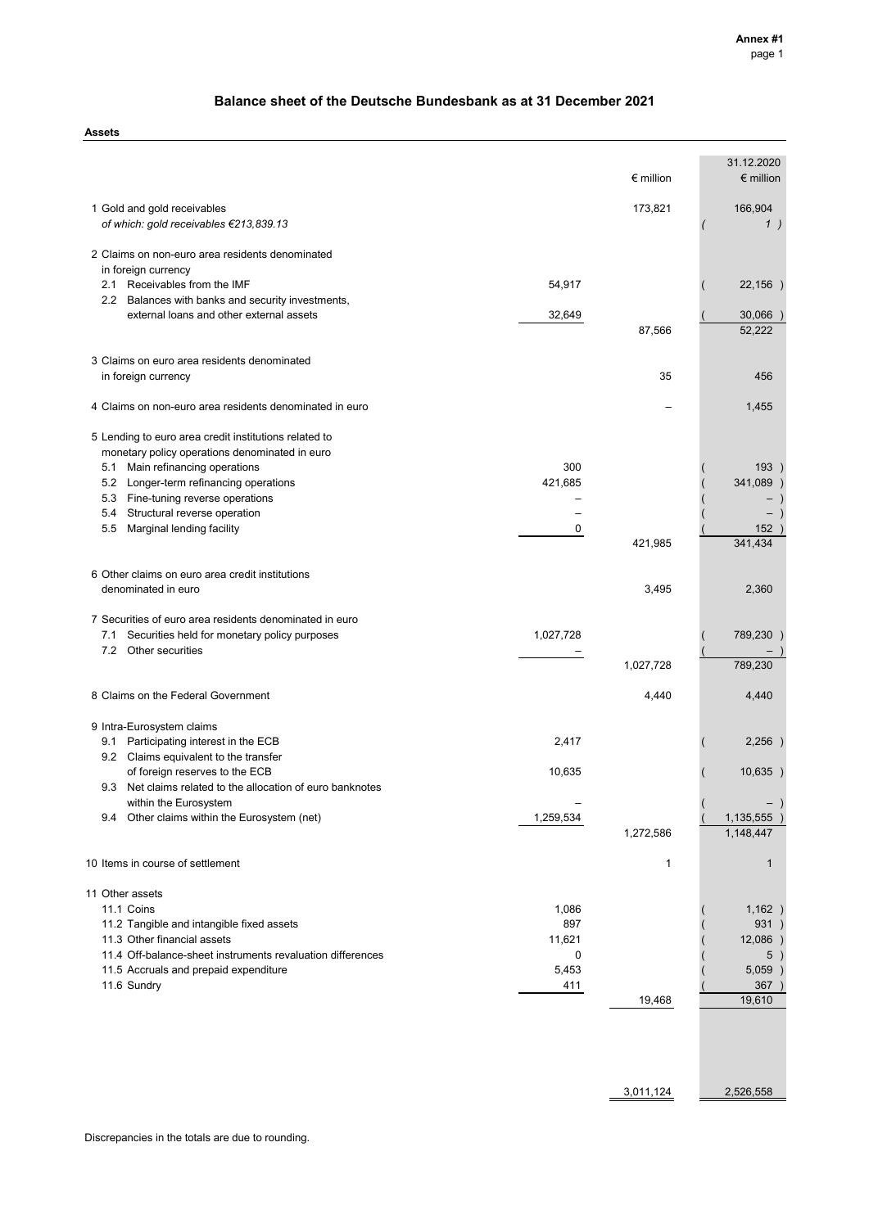## **Balance sheet of the Deutsche Bundesbank as at 31 December 2021**

**Assets**

|                                                                                                                |             | $\epsilon$ million | 31.12.2020<br>$\epsilon$ million |
|----------------------------------------------------------------------------------------------------------------|-------------|--------------------|----------------------------------|
|                                                                                                                |             |                    |                                  |
| 1 Gold and gold receivables<br>of which: gold receivables €213,839.13                                          |             | 173,821            | 166,904<br>1)                    |
| 2 Claims on non-euro area residents denominated                                                                |             |                    |                                  |
| in foreign currency                                                                                            |             |                    |                                  |
| 2.1 Receivables from the IMF                                                                                   | 54,917      |                    | 22,156)                          |
| 2.2 Balances with banks and security investments,<br>external loans and other external assets                  | 32,649      |                    | 30,066 )                         |
|                                                                                                                |             | 87,566             | 52,222                           |
| 3 Claims on euro area residents denominated                                                                    |             |                    |                                  |
| in foreign currency                                                                                            |             | 35                 | 456                              |
| 4 Claims on non-euro area residents denominated in euro                                                        |             |                    | 1,455                            |
| 5 Lending to euro area credit institutions related to                                                          |             |                    |                                  |
| monetary policy operations denominated in euro                                                                 |             |                    |                                  |
| Main refinancing operations<br>5.1                                                                             | 300         |                    | 193)                             |
| 5.2 Longer-term refinancing operations                                                                         | 421,685     |                    | 341,089                          |
| 5.3 Fine-tuning reverse operations                                                                             |             |                    |                                  |
| 5.4 Structural reverse operation<br>5.5<br>Marginal lending facility                                           | 0           |                    | $\qquad \qquad -$<br>152         |
|                                                                                                                |             | 421,985            | 341,434                          |
| 6 Other claims on euro area credit institutions                                                                |             |                    |                                  |
| denominated in euro                                                                                            |             | 3,495              | 2,360                            |
|                                                                                                                |             |                    |                                  |
| 7 Securities of euro area residents denominated in euro<br>7.1<br>Securities held for monetary policy purposes | 1,027,728   |                    | 789,230                          |
| 7.2 Other securities                                                                                           |             |                    |                                  |
|                                                                                                                |             | 1,027,728          | 789,230                          |
| 8 Claims on the Federal Government                                                                             |             | 4,440              | 4,440                            |
|                                                                                                                |             |                    |                                  |
| 9 Intra-Eurosystem claims                                                                                      |             |                    |                                  |
| 9.1 Participating interest in the ECB                                                                          | 2,417       |                    | 2,256)                           |
| 9.2 Claims equivalent to the transfer<br>of foreign reserves to the ECB                                        | 10,635      |                    | 10,635                           |
| Net claims related to the allocation of euro banknotes<br>9.3                                                  |             |                    |                                  |
| within the Eurosystem                                                                                          |             |                    |                                  |
| 9.4 Other claims within the Eurosystem (net)                                                                   | 1,259,534   |                    | 1,135,555                        |
|                                                                                                                |             | 1,272,586          | 1,148,447                        |
| 10 Items in course of settlement                                                                               |             | 1                  | 1                                |
| 11 Other assets                                                                                                |             |                    |                                  |
| 11.1 Coins                                                                                                     | 1,086       |                    | 1,162)                           |
| 11.2 Tangible and intangible fixed assets                                                                      | 897         |                    | 931)                             |
| 11.3 Other financial assets<br>11.4 Off-balance-sheet instruments revaluation differences                      | 11,621<br>0 |                    | $12,086$ )<br>5)                 |
| 11.5 Accruals and prepaid expenditure                                                                          | 5,453       |                    | 5,059)                           |
| 11.6 Sundry                                                                                                    | 411         |                    | 367)                             |
|                                                                                                                |             | 19,468             | 19,610                           |
|                                                                                                                |             |                    |                                  |
|                                                                                                                |             |                    |                                  |
|                                                                                                                |             | 3,011,124          | 2,526,558                        |